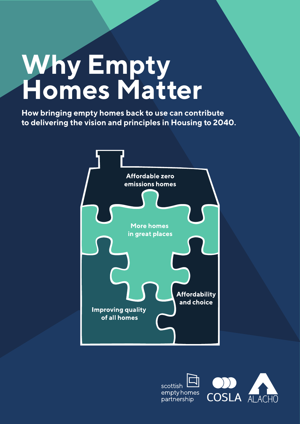# **Why Empty Homes Matter**

**How bringing empty homes back to use can contribute to delivering the vision and principles in Housing to 2040.**



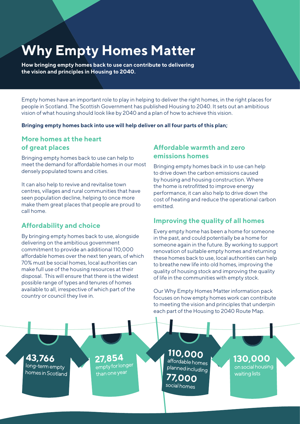# **Why Empty Homes Matter**

**How bringing empty homes back to use can contribute to delivering the vision and principles in Housing to 2040.**

Empty homes have an important role to play in helping to deliver the right homes, in the right places for people in Scotland. The Scottish Government has published Housing to 2040. It sets out an ambitious vision of what housing should look like by 2040 and a plan of how to achieve this vision.

**Bringing empty homes back into use will help deliver on all four parts of this plan;**

# **More homes at the heart of great places**

Bringing empty homes back to use can help to meet the demand for affordable homes in our most densely populated towns and cities.

It can also help to revive and revitalise town centres, villages and rural communities that have seen population decline, helping to once more make them great places that people are proud to call home.

# **Affordability and choice**

By bringing empty homes back to use, alongside delivering on the ambitious government commitment to provide an additional 110,000 affordable homes over the next ten years, of which 70% must be social homes, local authorities can make full use of the housing resources at their disposal. This will ensure that there is the widest possible range of types and tenures of homes available to all, irrespective of which part of the country or council they live in.

# **Affordable warmth and zero emissions homes**

Bringing empty homes back in to use can help to drive down the carbon emissions caused by housing and housing construction. Where the home is retrofitted to improve energy performance, it can also help to drive down the cost of heating and reduce the operational carbon emitted.

# **Improving the quality of all homes**

Every empty home has been a home for someone in the past, and could potentially be a home for someone again in the future. By working to support renovation of suitable empty homes and returning these homes back to use, local authorities can help to breathe new life into old homes, improving the quality of housing stock and improving the quality of life in the communities with empty stock.

Our Why Empty Homes Matter information pack focuses on how empty homes work can contribute to meeting the vision and principles that underpin each part of the Housing to 2040 Route Map.

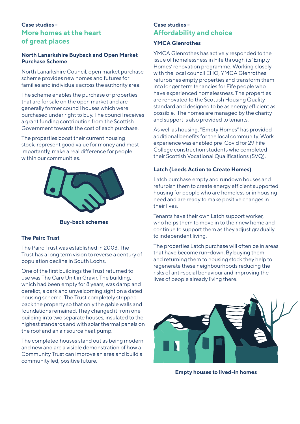# **Case studies - More homes at the heart of great places**

#### **North Lanarkshire Buyback and Open Market Purchase Scheme**

North Lanarkshire Council, open market purchase scheme provides new homes and futures for families and individuals across the authority area.

The scheme enables the purchase of properties that are for sale on the open market and are generally former council houses which were purchased under right to buy. The council receives a grant funding contribution from the Scottish Government towards the cost of each purchase.

The properties boost their current housing stock, represent good value for money and most importantly, make a real difference for people within our communities.



**Buy-back schemes**

#### **The Pairc Trust**

The Pairc Trust was established in 2003. The Trust has a long term vision to reverse a century of population decline in South Lochs.

One of the first buildings the Trust returned to use was The Care Unit in Gravir. The building, which had been empty for 8 years, was damp and derelict, a dark and unwelcoming sight on a dated housing scheme. The Trust completely stripped back the property so that only the gable walls and foundations remained. They changed it from one building into two separate houses, insulated to the highest standards and with solar thermal panels on the roof and an air source heat pump.

The completed houses stand out as being modern and new and are a visible demonstration of how a Community Trust can improve an area and build a community led, positive future.

#### **Case studies - Affordability and choice**

#### **YMCA Glenrothes**

YMCA Glenrothes has actively responded to the issue of homelessness in Fife through its 'Empty Homes' renovation programme. Working closely with the local council EHO, YMCA Glenrothes refurbishes empty properties and transform them into longer term tenancies for Fife people who have experienced homelessness. The properties are renovated to the Scottish Housing Quality standard and designed to be as energy efficient as possible. The homes are managed by the charity and support is also provided to tenants.

As well as housing, "Empty Homes" has provided additional benefits for the local community. Work experience was enabled pre-Covid for 29 Fife College construction students who completed their Scottish Vocational Qualifications (SVQ).

#### **Latch (Leeds Action to Create Homes)**

Latch purchase empty and rundown houses and refurbish them to create energy efficient supported housing for people who are homeless or in housing need and are ready to make positive changes in their lives.

Tenants have their own Latch support worker, who helps them to move in to their new home and continue to support them as they adjust gradually to independent living.

The properties Latch purchase will often be in areas that have become run-down. By buying them and returning them to housing stock they help to regenerate these neighbourhoods reducing the risks of anti-social behaviour and improving the lives of people already living there.



**Empty houses to lived-in homes**